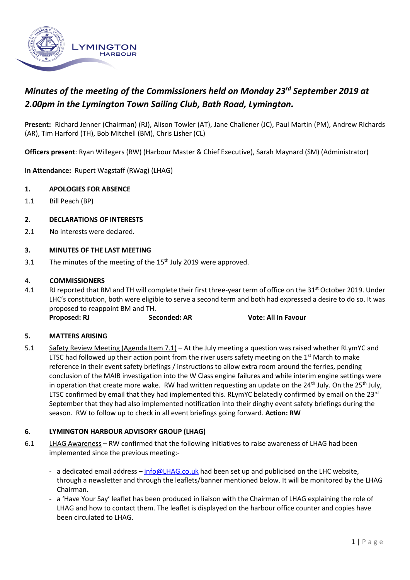

# *Minutes of the meeting of the Commissioners held on Monday 23rd September 2019 at 2.00pm in the Lymington Town Sailing Club, Bath Road, Lymington.*

**Present:** Richard Jenner (Chairman) (RJ), Alison Towler (AT), Jane Challener (JC), Paul Martin (PM), Andrew Richards (AR), Tim Harford (TH), Bob Mitchell (BM), Chris Lisher (CL)

**Officers present**: Ryan Willegers (RW) (Harbour Master & Chief Executive), Sarah Maynard (SM) (Administrator)

**In Attendance:** Rupert Wagstaff (RWag) (LHAG)

## **1. APOLOGIES FOR ABSENCE**

1.1 Bill Peach (BP)

#### **2. DECLARATIONS OF INTERESTS**

2.1 No interests were declared.

#### **3. MINUTES OF THE LAST MEETING**

3.1 The minutes of the meeting of the  $15<sup>th</sup>$  July 2019 were approved.

#### 4. **COMMISSIONERS**

4.1 RJ reported that BM and TH will complete their first three-year term of office on the 31<sup>st</sup> October 2019. Under LHC's constitution, both were eligible to serve a second term and both had expressed a desire to do so. It was proposed to reappoint BM and TH.

**Proposed: RJ Seconded: AR Vote: All In Favour**

## **5. MATTERS ARISING**

5.1 Safety Review Meeting (Agenda Item 7.1) – At the July meeting a question was raised whether RLymYC and LTSC had followed up their action point from the river users safety meeting on the  $1<sup>st</sup>$  March to make reference in their event safety briefings / instructions to allow extra room around the ferries, pending conclusion of the MAIB investigation into the W Class engine failures and while interim engine settings were in operation that create more wake. RW had written requesting an update on the 24<sup>th</sup> July. On the 25<sup>th</sup> July, LTSC confirmed by email that they had implemented this. RLymYC belatedly confirmed by email on the 23 $rd$ September that they had also implemented notification into their dinghy event safety briefings during the season. RW to follow up to check in all event briefings going forward. **Action: RW**

## **6. LYMINGTON HARBOUR ADVISORY GROUP (LHAG)**

- 6.1 LHAG Awareness RW confirmed that the following initiatives to raise awareness of LHAG had been implemented since the previous meeting:
	- a dedicated email address [info@LHAG.co.uk](mailto:info@LHAG.co.uk) had been set up and publicised on the LHC website, through a newsletter and through the leaflets/banner mentioned below. It will be monitored by the LHAG Chairman.
	- a 'Have Your Say' leaflet has been produced in liaison with the Chairman of LHAG explaining the role of LHAG and how to contact them. The leaflet is displayed on the harbour office counter and copies have been circulated to LHAG.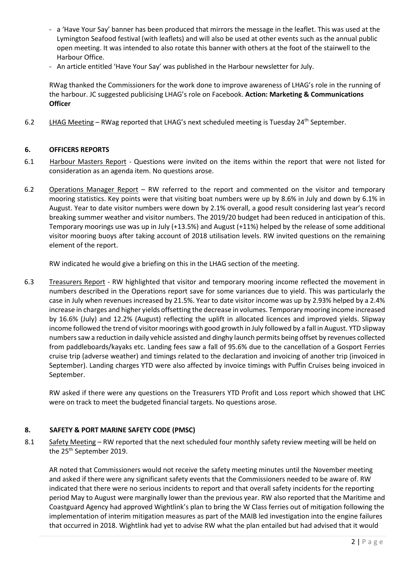- a 'Have Your Say' banner has been produced that mirrors the message in the leaflet. This was used at the Lymington Seafood festival (with leaflets) and will also be used at other events such as the annual public open meeting. It was intended to also rotate this banner with others at the foot of the stairwell to the Harbour Office.
- An article entitled 'Have Your Say' was published in the Harbour newsletter for July.

RWag thanked the Commissioners for the work done to improve awareness of LHAG's role in the running of the harbour. JC suggested publicising LHAG's role on Facebook. **Action: Marketing & Communications Officer** 

6.2 LHAG Meeting – RWag reported that LHAG's next scheduled meeting is Tuesday 24<sup>th</sup> September.

# **6. OFFICERS REPORTS**

- 6.1 Harbour Masters Report Questions were invited on the items within the report that were not listed for consideration as an agenda item. No questions arose.
- 6.2 Operations Manager Report RW referred to the report and commented on the visitor and temporary mooring statistics. Key points were that visiting boat numbers were up by 8.6% in July and down by 6.1% in August. Year to date visitor numbers were down by 2.1% overall, a good result considering last year's record breaking summer weather and visitor numbers. The 2019/20 budget had been reduced in anticipation of this. Temporary moorings use was up in July (+13.5%) and August (+11%) helped by the release of some additional visitor mooring buoys after taking account of 2018 utilisation levels. RW invited questions on the remaining element of the report.

RW indicated he would give a briefing on this in the LHAG section of the meeting.

6.3 Treasurers Report - RW highlighted that visitor and temporary mooring income reflected the movement in numbers described in the Operations report save for some variances due to yield. This was particularly the case in July when revenues increased by 21.5%. Year to date visitor income was up by 2.93% helped by a 2.4% increase in charges and higher yields offsetting the decrease in volumes. Temporary mooring income increased by 16.6% (July) and 12.2% (August) reflecting the uplift in allocated licences and improved yields. Slipway income followed the trend of visitor moorings with good growth in July followed by a fall in August. YTD slipway numbers saw a reduction in daily vehicle assisted and dinghy launch permits being offset by revenues collected from paddleboards/kayaks etc. Landing fees saw a fall of 95.6% due to the cancellation of a Gosport Ferries cruise trip (adverse weather) and timings related to the declaration and invoicing of another trip (invoiced in September). Landing charges YTD were also affected by invoice timings with Puffin Cruises being invoiced in September.

RW asked if there were any questions on the Treasurers YTD Profit and Loss report which showed that LHC were on track to meet the budgeted financial targets. No questions arose.

## **8. SAFETY & PORT MARINE SAFETY CODE (PMSC)**

8.1 Safety Meeting – RW reported that the next scheduled four monthly safety review meeting will be held on the 25<sup>th</sup> September 2019.

AR noted that Commissioners would not receive the safety meeting minutes until the November meeting and asked if there were any significant safety events that the Commissioners needed to be aware of. RW indicated that there were no serious incidents to report and that overall safety incidents for the reporting period May to August were marginally lower than the previous year. RW also reported that the Maritime and Coastguard Agency had approved Wightlink's plan to bring the W Class ferries out of mitigation following the implementation of interim mitigation measures as part of the MAIB led investigation into the engine failures that occurred in 2018. Wightlink had yet to advise RW what the plan entailed but had advised that it would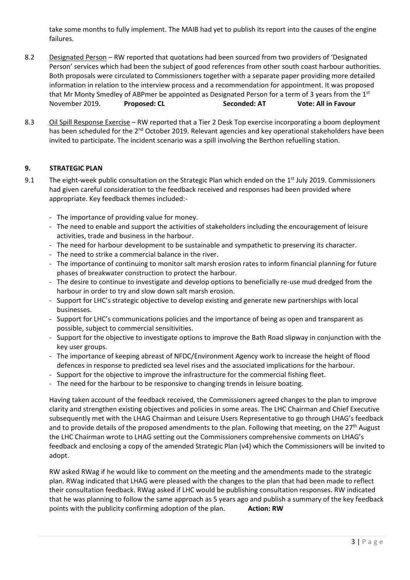take some months to fully implement. The MAIB had yet to publish its report into the causes of the engine failures.

- 8.2 Designated Person RW reported that quotations had been sourced from two providers of 'Designated Person' services which had been the subject of good references from other south coast harbour authorities. Both proposals were circulated to Commissioners together with a separate paper providing more detailed information in relation to the interview process and a recommendation for appointment. It was proposed that Mr Monty Smedley of ABPmer be appointed as Designated Person for a term of 3 years from the  $1<sup>st</sup>$ November 2019. **Proposed: CL Seconded: AT Vote: All in Favour**
- 8.3 Oil Spill Response Exercise RW reported that a Tier 2 Desk Top exercise incorporating a boom deployment has been scheduled for the 2<sup>nd</sup> October 2019. Relevant agencies and key operational stakeholders have been invited to participate. The incident scenario was a spill involving the Berthon refuelling station.

# **9. STRATEGIC PLAN**

- 9.1 The eight-week public consultation on the Strategic Plan which ended on the 1<sup>st</sup> July 2019. Commissioners had given careful consideration to the feedback received and responses had been provided where appropriate. Key feedback themes included:-
	- The importance of providing value for money.
	- The need to enable and support the activities of stakeholders including the encouragement of leisure activities, trade and business in the harbour.
	- The need for harbour development to be sustainable and sympathetic to preserving its character.
	- The need to strike a commercial balance in the river.
	- The importance of continuing to monitor salt marsh erosion rates to inform financial planning for future phases of breakwater construction to protect the harbour.
	- The desire to continue to investigate and develop options to beneficially re-use mud dredged from the harbour in order to try and slow down salt marsh erosion.
	- Support for LHC's strategic objective to develop existing and generate new partnerships with local businesses.
	- Support for LHC's communications policies and the importance of being as open and transparent as possible, subject to commercial sensitivities.
	- Support for the objective to investigate options to improve the Bath Road slipway in conjunction with the key user groups.
	- The importance of keeping abreast of NFDC/Environment Agency work to increase the height of flood defences in response to predicted sea level rises and the associated implications for the harbour.
	- Support for the objective to improve the infrastructure for the commercial fishing fleet.
	- The need for the harbour to be responsive to changing trends in leisure boating.

Having taken account of the feedback received, the Commissioners agreed changes to the plan to improve clarity and strengthen existing objectives and policies in some areas. The LHC Chairman and Chief Executive subsequently met with the LHAG Chairman and Leisure Users Representative to go through LHAG's feedback and to provide details of the proposed amendments to the plan. Following that meeting, on the  $27<sup>th</sup>$  August the LHC Chairman wrote to LHAG setting out the Commissioners comprehensive comments on LHAG's feedback and enclosing a copy of the amended Strategic Plan (v4) which the Commissioners will be invited to adopt.

RW asked RWag if he would like to comment on the meeting and the amendments made to the strategic plan. RWag indicated that LHAG were pleased with the changes to the plan that had been made to reflect their consultation feedback. RWag asked if LHC would be publishing consultation responses. RW indicated that he was planning to follow the same approach as 5 years ago and publish a summary of the key feedback points with the publicity confirming adoption of the plan. **Action: RW**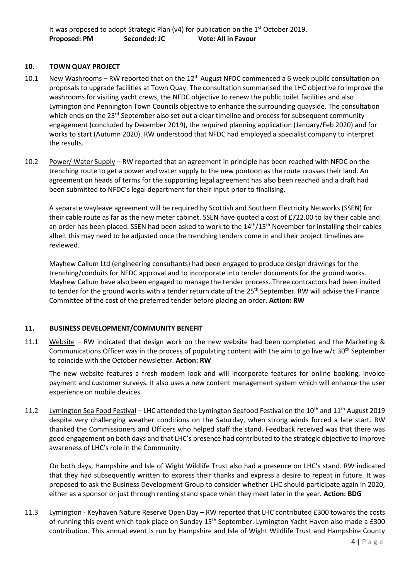# **10. TOWN QUAY PROJECT**

- 10.1 New Washrooms RW reported that on the  $12<sup>th</sup>$  August NFDC commenced a 6 week public consultation on proposals to upgrade facilities at Town Quay. The consultation summarised the LHC objective to improve the washrooms for visiting yacht crews, the NFDC objective to renew the public toilet facilities and also Lymington and Pennington Town Councils objective to enhance the surrounding quayside. The consultation which ends on the 23<sup>rd</sup> September also set out a clear timeline and process for subsequent community engagement (concluded by December 2019), the required planning application (January/Feb 2020) and for works to start (Autumn 2020). RW understood that NFDC had employed a specialist company to interpret the results.
- 10.2 Power/ Water Supply RW reported that an agreement in principle has been reached with NFDC on the trenching route to get a power and water supply to the new pontoon as the route crosses their land. An agreement on heads of terms for the supporting legal agreement has also been reached and a draft had been submitted to NFDC's legal department for their input prior to finalising.

A separate wayleave agreement will be required by Scottish and Southern Electricity Networks (SSEN) for their cable route as far as the new meter cabinet. SSEN have quoted a cost of £722.00 to lay their cable and an order has been placed. SSEN had been asked to work to the  $14<sup>th</sup>/15<sup>th</sup>$  November for installing their cables albeit this may need to be adjusted once the trenching tenders come in and their project timelines are reviewed.

Mayhew Callum Ltd (engineering consultants) had been engaged to produce design drawings for the trenching/conduits for NFDC approval and to incorporate into tender documents for the ground works. Mayhew Callum have also been engaged to manage the tender process. Three contractors had been invited to tender for the ground works with a tender return date of the 25<sup>th</sup> September. RW will advise the Finance Committee of the cost of the preferred tender before placing an order. **Action: RW**

## **11. BUSINESS DEVELOPMENT/COMMUNITY BENEFIT**

11.1 Website – RW indicated that design work on the new website had been completed and the Marketing & Communications Officer was in the process of populating content with the aim to go live w/c  $30<sup>th</sup>$  September to coincide with the October newsletter. **Action: RW**

The new website features a fresh modern look and will incorporate features for online booking, invoice payment and customer surveys. It also uses a new content management system which will enhance the user experience on mobile devices.

11.2 Lymington Sea Food Festival – LHC attended the Lymington Seafood Festival on the 10<sup>th</sup> and 11<sup>th</sup> August 2019 despite very challenging weather conditions on the Saturday, when strong winds forced a late start. RW thanked the Commissioners and Officers who helped staff the stand. Feedback received was that there was good engagement on both days and that LHC's presence had contributed to the strategic objective to improve awareness of LHC's role in the Community.

On both days, Hampshire and Isle of Wight Wildlife Trust also had a presence on LHC's stand. RW indicated that they had subsequently written to express their thanks and express a desire to repeat in future. It was proposed to ask the Business Development Group to consider whether LHC should participate again in 2020, either as a sponsor or just through renting stand space when they meet later in the year. **Action: BDG**

11.3 Lymington - Keyhaven Nature Reserve Open Day – RW reported that LHC contributed £300 towards the costs of running this event which took place on Sunday 15<sup>th</sup> September. Lymington Yacht Haven also made a £300 contribution. This annual event is run by Hampshire and Isle of Wight Wildlife Trust and Hampshire County